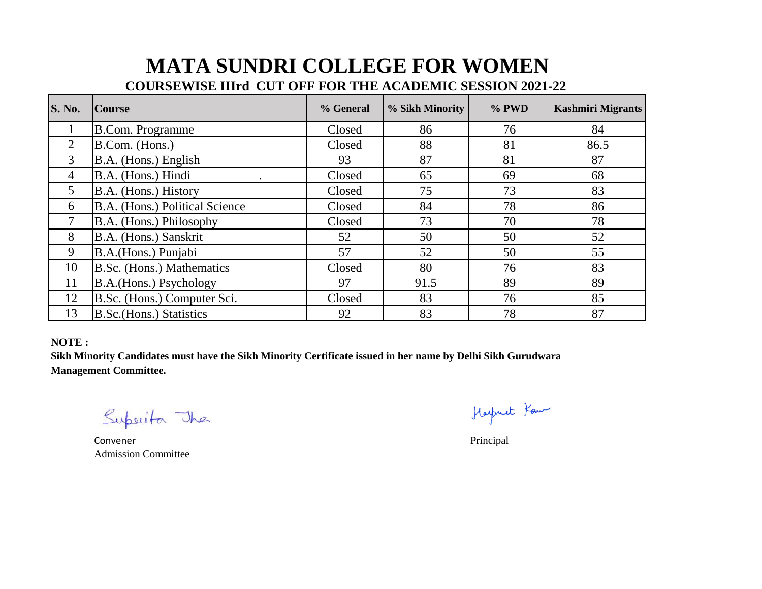## **MATA SUNDRI COLLEGE FOR WOMEN**

## **COURSEWISE IIIrd CUT OFF FOR THE ACADEMIC SESSION 2021-22**

| <b>S. No.</b>  | <b>Course</b>                  | % General | % Sikh Minority | % PWD | <b>Kashmiri Migrants</b> |
|----------------|--------------------------------|-----------|-----------------|-------|--------------------------|
|                | <b>B.Com. Programme</b>        | Closed    | 86              | 76    | 84                       |
| $\overline{2}$ | B.Com. (Hons.)                 | Closed    | 88              | 81    | 86.5                     |
| 3              | B.A. (Hons.) English           | 93        | 87              | 81    | 87                       |
| $\overline{4}$ | B.A. (Hons.) Hindi<br>٠        | Closed    | 65              | 69    | 68                       |
| $\mathfrak{S}$ | B.A. (Hons.) History           | Closed    | 75              | 73    | 83                       |
| 6              | B.A. (Hons.) Political Science | Closed    | 84              | 78    | 86                       |
|                | B.A. (Hons.) Philosophy        | Closed    | 73              | 70    | 78                       |
| 8              | B.A. (Hons.) Sanskrit          | 52        | 50              | 50    | 52                       |
| 9              | B.A. (Hons.) Punjabi           | 57        | 52              | 50    | 55                       |
| 10             | B.Sc. (Hons.) Mathematics      | Closed    | 80              | 76    | 83                       |
| 11             | B.A.(Hons.) Psychology         | 97        | 91.5            | 89    | 89                       |
| 12             | B.Sc. (Hons.) Computer Sci.    | Closed    | 83              | 76    | 85                       |
| 13             | B.Sc. (Hons.) Statistics       | 92        | 83              | 78    | 87                       |

## **NOTE :**

**Sikh Minority Candidates must have the Sikh Minority Certificate issued in her name by Delhi Sikh Gurudwara Management Committee.**

Superita The

Convener Principal Admission Committee

Harpriet Kau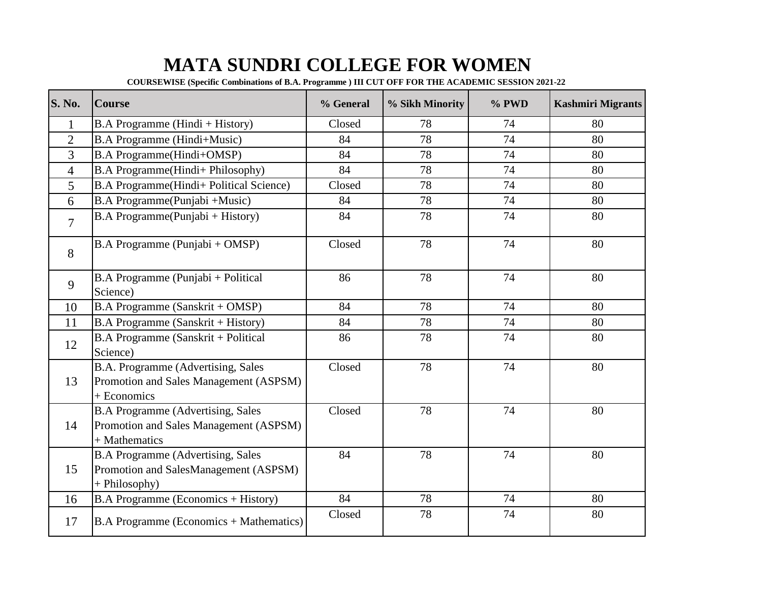## **MATA SUNDRI COLLEGE FOR WOMEN**

**COURSEWISE (Specific Combinations of B.A. Programme ) III CUT OFF FOR THE ACADEMIC SESSION 2021-22** 

| <b>S. No.</b>  | <b>Course</b>                                                                                       | % General | % Sikh Minority | % PWD | <b>Kashmiri Migrants</b> |
|----------------|-----------------------------------------------------------------------------------------------------|-----------|-----------------|-------|--------------------------|
| $\mathbf{1}$   | B.A Programme (Hindi + History)                                                                     | Closed    | 78              | 74    | 80                       |
| $\overline{2}$ | B.A Programme (Hindi+Music)                                                                         | 84        | 78              | 74    | 80                       |
| 3              | <b>B.A Programme(Hindi+OMSP)</b>                                                                    | 84        | 78              | 74    | 80                       |
| $\overline{4}$ | B.A Programme(Hindi+ Philosophy)                                                                    | 84        | 78              | 74    | 80                       |
| 5              | <b>B.A Programme</b> (Hindi+ Political Science)                                                     | Closed    | 78              | 74    | 80                       |
| 6              | B.A Programme(Punjabi +Music)                                                                       | 84        | 78              | 74    | 80                       |
| 7              | B.A Programme(Punjabi + History)                                                                    | 84        | 78              | 74    | 80                       |
| 8              | B.A Programme (Punjabi + OMSP)                                                                      | Closed    | 78              | 74    | 80                       |
| 9              | B.A Programme (Punjabi + Political<br>Science)                                                      | 86        | 78              | 74    | 80                       |
| 10             | B.A Programme (Sanskrit + OMSP)                                                                     | 84        | 78              | 74    | 80                       |
| 11             | B.A Programme (Sanskrit + History)                                                                  | 84        | 78              | 74    | 80                       |
| 12             | B.A Programme (Sanskrit + Political<br>Science)                                                     | 86        | 78              | 74    | 80                       |
| 13             | B.A. Programme (Advertising, Sales<br>Promotion and Sales Management (ASPSM)<br>+ Economics         | Closed    | 78              | 74    | 80                       |
| 14             | <b>B.A Programme (Advertising, Sales</b><br>Promotion and Sales Management (ASPSM)<br>+ Mathematics | Closed    | 78              | 74    | 80                       |
| 15             | <b>B.A Programme (Advertising, Sales</b><br>Promotion and SalesManagement (ASPSM)<br>+ Philosophy)  | 84        | 78              | 74    | 80                       |
| 16             | <b>B.A Programme (Economics + History)</b>                                                          | 84        | 78              | 74    | 80                       |
| 17             | B.A Programme (Economics + Mathematics)                                                             | Closed    | 78              | 74    | 80                       |